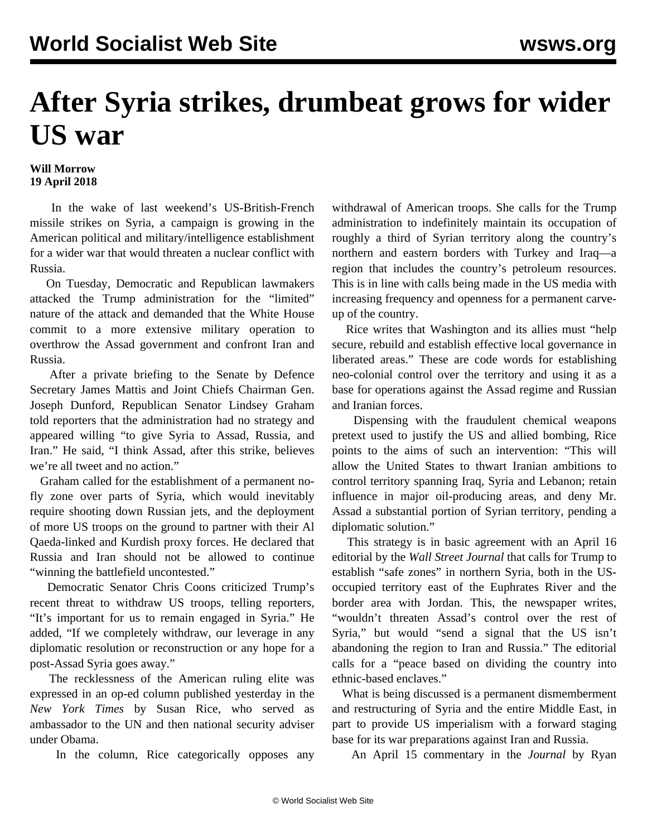## **After Syria strikes, drumbeat grows for wider US war**

## **Will Morrow 19 April 2018**

 In the wake of last weekend's US-British-French missile strikes on Syria, a campaign is growing in the American political and military/intelligence establishment for a wider war that would threaten a nuclear conflict with Russia.

 On Tuesday, Democratic and Republican lawmakers attacked the Trump administration for the "limited" nature of the attack and demanded that the White House commit to a more extensive military operation to overthrow the Assad government and confront Iran and Russia.

 After a private briefing to the Senate by Defence Secretary James Mattis and Joint Chiefs Chairman Gen. Joseph Dunford, Republican Senator Lindsey Graham told reporters that the administration had no strategy and appeared willing "to give Syria to Assad, Russia, and Iran." He said, "I think Assad, after this strike, believes we're all tweet and no action."

 Graham called for the establishment of a permanent nofly zone over parts of Syria, which would inevitably require shooting down Russian jets, and the deployment of more US troops on the ground to partner with their Al Qaeda-linked and Kurdish proxy forces. He declared that Russia and Iran should not be allowed to continue "winning the battlefield uncontested."

 Democratic Senator Chris Coons criticized Trump's recent threat to withdraw US troops, telling reporters, "It's important for us to remain engaged in Syria." He added, "If we completely withdraw, our leverage in any diplomatic resolution or reconstruction or any hope for a post-Assad Syria goes away."

 The recklessness of the American ruling elite was expressed in an op-ed column published yesterday in the *New York Times* by Susan Rice, who served as ambassador to the UN and then national security adviser under Obama.

In the column, Rice categorically opposes any

withdrawal of American troops. She calls for the Trump administration to indefinitely maintain its occupation of roughly a third of Syrian territory along the country's northern and eastern borders with Turkey and Iraq—a region that includes the country's petroleum resources. This is in line with calls being made in the US media with increasing frequency and openness for a permanent carveup of the country.

 Rice writes that Washington and its allies must "help secure, rebuild and establish effective local governance in liberated areas." These are code words for establishing neo-colonial control over the territory and using it as a base for operations against the Assad regime and Russian and Iranian forces.

 Dispensing with the fraudulent chemical weapons pretext used to justify the US and allied bombing, Rice points to the aims of such an intervention: "This will allow the United States to thwart Iranian ambitions to control territory spanning Iraq, Syria and Lebanon; retain influence in major oil-producing areas, and deny Mr. Assad a substantial portion of Syrian territory, pending a diplomatic solution."

 This strategy is in basic agreement with an April 16 editorial by the *Wall Street Journal* that calls for Trump to establish "safe zones" in northern Syria, both in the USoccupied territory east of the Euphrates River and the border area with Jordan. This, the newspaper writes, "wouldn't threaten Assad's control over the rest of Syria," but would "send a signal that the US isn't abandoning the region to Iran and Russia." The editorial calls for a "peace based on dividing the country into ethnic-based enclaves."

 What is being discussed is a permanent dismemberment and restructuring of Syria and the entire Middle East, in part to provide US imperialism with a forward staging base for its war preparations against Iran and Russia.

An April 15 commentary in the *Journal* by Ryan